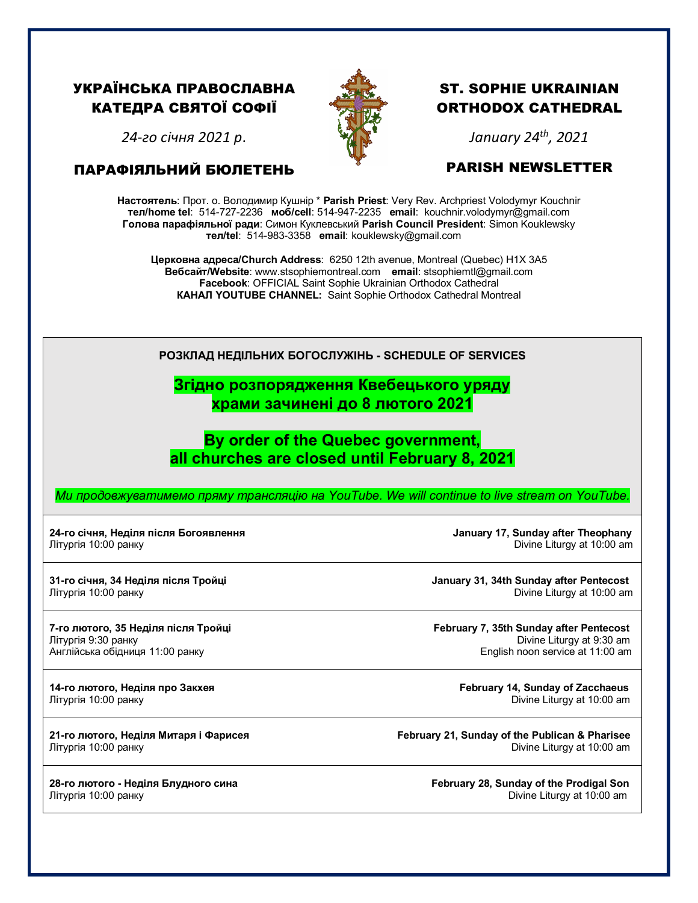### УКРАЇНСЬКА ПРАВОСЛАВНА КАТЕДРА СВЯТОЇ СОФІЇ



# ST. SOPHIE UKRAINIAN ORTHODOX CATHEDRAL

*24-го січня 2021 р*.

#### ПАРАФІЯЛЬНИЙ БЮЛЕТЕНЬ

# *January 24th, 2021*

#### PARISH NEWSLETTER

**Настоятель**: Прот. о. Володимир Кушнір \* **Parish Priest**: Very Rev. Archpriest Volodymyr Kouchnir **тел/home tel**: 514-727-2236 **моб/cell**: 514-947-2235 **email**: kouchnir.volodymyr@gmail.com **Голова парафіяльної ради**: Симон Куклевський **Parish Council President**: Simon Kouklewsky  **тел/tel**: 514-983-3358 **email**: kouklewsky@gmail.com

**Церковна адреса/Church Address**: 6250 12th avenue, Montreal (Quebec) H1X 3A5 **Вебсайт/Website**: www.stsophiemontreal.com **email**: stsophiemtl@gmail.com **Facebook**: OFFICIAL Saint Sophie Ukrainian Orthodox Cathedral **КАНАЛ YOUTUBE CHANNEL:** Saint Sophie Orthodox Cathedral Montreal

## **РОЗКЛАД НЕДІЛЬНИХ БОГОСЛУЖІНЬ - SCHEDULE OF SERVICES**

### **Згідно розпорядження Квебецького уряду храми зачинені до 8 лютого 2021**

# **By order of the Quebec government, all churches are closed until February 8, 2021**

*Ми продовжуватимемо пряму трансляцію на YouTube. We will continue to live stream on YouTube.*

#### **24-го січня, Неділя після Богоявлення January 17, Sunday after Theophany** Літургія 10:00 ранкуDivine Liturgy at 10:00 am

Літургія 10:00 ранкуDivine Liturgy at 10:00 am

Англійська обідниця 11:00 ранку

**31-го січня, 34 Hеділя після Тройці January 31, 34th Sunday after Pentecost**

**7-го лютого, 35 Hеділя після Тройці February 7, 35th Sunday after Pentecost** Літургія 9:30 ранкуDivine Liturgy at 9:30 am

**14-го лютого, Неділя про Закхея February 14, Sunday of Zacchaeus** Літургія 10:00 ранкуDivine Liturgy at 10:00 am

**21-го лютого, Неділя Митаря і Фарисея February 21, Sunday of the Publican & Pharisee** Літургія 10:00 ранкуDivine Liturgy at 10:00 am

**28-го лютого - Неділя Блудного сина February 28, Sunday of the Prodigal Son** Літургія 10:00 ранкуDivine Liturgy at 10:00 am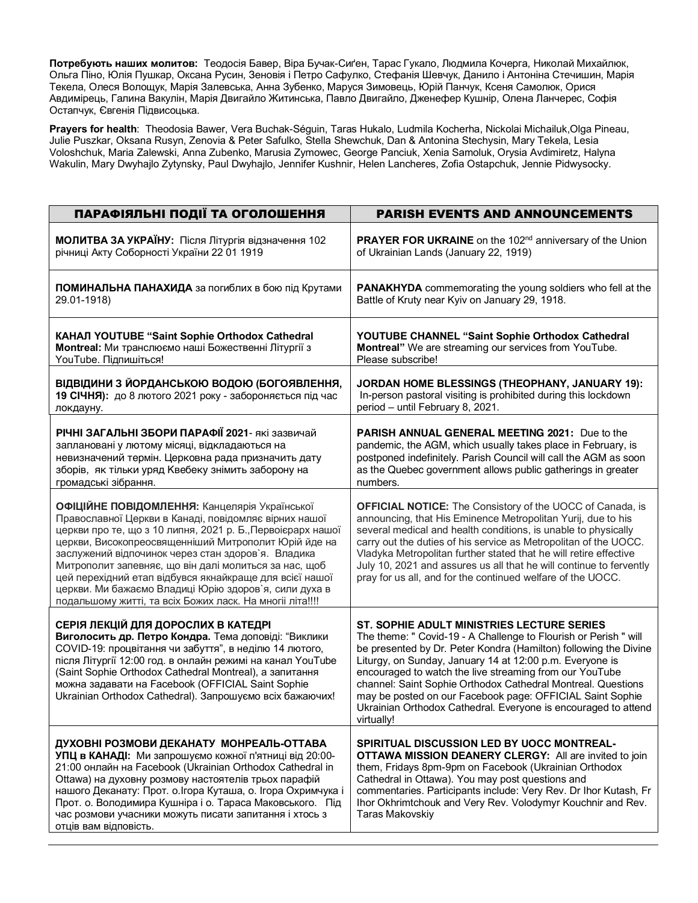**Потребують наших молитов:** Теодосія Бавер, Віра Бучак-Сиґен, Тарас Гукало, Людмила Кочерга, Николай Михайлюк, Ольгa Піно, Юлія Пушкар, Оксанa Русин, Зеновія і Петро Сафулко, Стефанія Шевчук, Данило і Антоніна Стечишин, Марія Текела, Олеся Волощук, Марія Залевська, Анна Зубенко, Маруся Зимовець, Юрій Панчук, Ксеня Самолюк, Орися Авдимірець, Галина Вакулін, Марія Двигайло Житинська, Павло Двигайло, Дженефер Кушнір, Олена Ланчерес, Софія Остапчук, Євгенія Підвисоцька.

**Prayers for health**: Theodosia Bawer, Vera Buchak-Séguin, Taras Hukalo, Ludmila Kocherha, Nickolai Michailuk,Olga Pineau, Julie Puszkar, Oksana Rusyn, Zenovia & Peter Safulko, Stella Shewchuk, Dan & Antonina Stechysin, Mary Tekela, Lesia Voloshchuk, Maria Zalewski, Anna Zubenko, Marusia Zymowec, George Panciuk, Xenia Samoluk, Orysia Avdimiretz, Halyna Wakulin, Mary Dwyhajlo Zytynsky, Paul Dwyhajlo, Jennifer Kushnir, Helen Lancheres, Zofia Ostapchuk, Jennie Pidwysocky.

| ПАРАФІЯЛЬНІ ПОДІЇ ТА ОГОЛОШЕННЯ                                                                                                                                                                                                                                                                                                                                                                                                                                                                                              | <b>PARISH EVENTS AND ANNOUNCEMENTS</b>                                                                                                                                                                                                                                                                                                                                                                                                                                                                                 |
|------------------------------------------------------------------------------------------------------------------------------------------------------------------------------------------------------------------------------------------------------------------------------------------------------------------------------------------------------------------------------------------------------------------------------------------------------------------------------------------------------------------------------|------------------------------------------------------------------------------------------------------------------------------------------------------------------------------------------------------------------------------------------------------------------------------------------------------------------------------------------------------------------------------------------------------------------------------------------------------------------------------------------------------------------------|
| МОЛИТВА ЗА УКРАЇНУ: Після Літургія відзначення 102                                                                                                                                                                                                                                                                                                                                                                                                                                                                           | PRAYER FOR UKRAINE on the 102 <sup>nd</sup> anniversary of the Union                                                                                                                                                                                                                                                                                                                                                                                                                                                   |
| річниці Акту Соборності України 22 01 1919                                                                                                                                                                                                                                                                                                                                                                                                                                                                                   | of Ukrainian Lands (January 22, 1919)                                                                                                                                                                                                                                                                                                                                                                                                                                                                                  |
| ПОМИНАЛЬНА ПАНАХИДА за погиблих в бою під Крутами                                                                                                                                                                                                                                                                                                                                                                                                                                                                            | <b>PANAKHYDA</b> commemorating the young soldiers who fell at the                                                                                                                                                                                                                                                                                                                                                                                                                                                      |
| 29.01-1918)                                                                                                                                                                                                                                                                                                                                                                                                                                                                                                                  | Battle of Kruty near Kyiv on January 29, 1918.                                                                                                                                                                                                                                                                                                                                                                                                                                                                         |
| КАНАЛ YOUTUBE "Saint Sophie Orthodox Cathedral                                                                                                                                                                                                                                                                                                                                                                                                                                                                               | YOUTUBE CHANNEL "Saint Sophie Orthodox Cathedral                                                                                                                                                                                                                                                                                                                                                                                                                                                                       |
| Montreal: Ми транслюємо наші Божественні Літургії з                                                                                                                                                                                                                                                                                                                                                                                                                                                                          | Montreal" We are streaming our services from YouTube.                                                                                                                                                                                                                                                                                                                                                                                                                                                                  |
| YouTube. Підпишіться!                                                                                                                                                                                                                                                                                                                                                                                                                                                                                                        | Please subscribe!                                                                                                                                                                                                                                                                                                                                                                                                                                                                                                      |
| ВІДВІДИНИ З ЙОРДАНСЬКОЮ ВОДОЮ (БОГОЯВЛЕННЯ,                                                                                                                                                                                                                                                                                                                                                                                                                                                                                  | JORDAN HOME BLESSINGS (THEOPHANY, JANUARY 19):                                                                                                                                                                                                                                                                                                                                                                                                                                                                         |
| 19 СІЧНЯ): до 8 лютого 2021 року - забороняється під час                                                                                                                                                                                                                                                                                                                                                                                                                                                                     | In-person pastoral visiting is prohibited during this lockdown                                                                                                                                                                                                                                                                                                                                                                                                                                                         |
| локдауну.                                                                                                                                                                                                                                                                                                                                                                                                                                                                                                                    | period - until February 8, 2021.                                                                                                                                                                                                                                                                                                                                                                                                                                                                                       |
| РІЧНІ ЗАГАЛЬНІ ЗБОРИ ПАРАФІЇ 2021- які зазвичай                                                                                                                                                                                                                                                                                                                                                                                                                                                                              | <b>PARISH ANNUAL GENERAL MEETING 2021: Due to the</b>                                                                                                                                                                                                                                                                                                                                                                                                                                                                  |
| заплановані у лютому місяці, відкладаються на                                                                                                                                                                                                                                                                                                                                                                                                                                                                                | pandemic, the AGM, which usually takes place in February, is                                                                                                                                                                                                                                                                                                                                                                                                                                                           |
| невизначений термін. Церковна рада призначить дату                                                                                                                                                                                                                                                                                                                                                                                                                                                                           | postponed indefinitely. Parish Council will call the AGM as soon                                                                                                                                                                                                                                                                                                                                                                                                                                                       |
| зборів, як тільки уряд Квебеку знімить заборону на                                                                                                                                                                                                                                                                                                                                                                                                                                                                           | as the Quebec government allows public gatherings in greater                                                                                                                                                                                                                                                                                                                                                                                                                                                           |
| громадські зібрання.                                                                                                                                                                                                                                                                                                                                                                                                                                                                                                         | numbers.                                                                                                                                                                                                                                                                                                                                                                                                                                                                                                               |
| ОФІЦІЙНЕ ПОВІДОМЛЕННЯ: Канцелярія Української<br>Православної Церкви в Канаді, повідомляє вірних нашої<br>церкви про те, що з 10 липня, 2021 р. Б., Первоієрарх нашої<br>церкви, Високопреосвященніший Митрополит Юрій йде на<br>заслужений відпочинок через стан здоров'я. Владика<br>Митрополит запевняє, що він далі молиться за нас, щоб<br>цей перехідний етап відбувся якнайкраще для всієї нашої<br>церкви. Ми бажаємо Владиці Юрію здоров'я, сили духа в<br>подальшому житті, та всіх Божих ласк. На многіі літа!!!! | <b>OFFICIAL NOTICE:</b> The Consistory of the UOCC of Canada, is<br>announcing, that His Eminence Metropolitan Yurij, due to his<br>several medical and health conditions, is unable to physically<br>carry out the duties of his service as Metropolitan of the UOCC.<br>Vladyka Metropolitan further stated that he will retire effective<br>July 10, 2021 and assures us all that he will continue to fervently<br>pray for us all, and for the continued welfare of the UOCC.                                      |
| СЕРІЯ ЛЕКЦІЙ ДЛЯ ДОРОСЛИХ В КАТЕДРІ<br>Виголосить др. Петро Кондра. Тема доповіді: "Виклики<br>COVID-19: процвітання чи забуття", в неділю 14 лютого,<br>після Літургії 12:00 год. в онлайн режимі на канал YouTube<br>(Saint Sophie Orthodox Cathedral Montreal), а запитання<br>можна задавати на Facebook (OFFICIAL Saint Sophie<br>Ukrainian Orthodox Cathedral). Запрошуємо всіх бажаючих!                                                                                                                              | ST. SOPHIE ADULT MINISTRIES LECTURE SERIES<br>The theme: " Covid-19 - A Challenge to Flourish or Perish " will<br>be presented by Dr. Peter Kondra (Hamilton) following the Divine<br>Liturgy, on Sunday, January 14 at 12:00 p.m. Everyone is<br>encouraged to watch the live streaming from our YouTube<br>channel: Saint Sophie Orthodox Cathedral Montreal. Questions<br>may be posted on our Facebook page: OFFICIAL Saint Sophie<br>Ukrainian Orthodox Cathedral. Everyone is encouraged to attend<br>virtually! |
| ДУХОВНІ РОЗМОВИ ДЕКАНАТУ МОНРЕАЛЬ-ОТТАВА<br>УПЦ в КАНАДІ: Ми запрошуємо кожної п'ятниці від 20:00-<br>21:00 онлайн на Facebook (Ukrainian Orthodox Cathedral in<br>Ottawa) на духовну розмову настоятелів трьох парафій<br>нашого Деканату: Прот. о. Ігора Куташа, о. Ігора Охримчука і<br>Прот. о. Володимира Кушніра і о. Тараса Маковського. Під<br>час розмови учасники можуть писати запитання і хтось з<br>отців вам відповість.                                                                                       | SPIRITUAL DISCUSSION LED BY UOCC MONTREAL-<br>OTTAWA MISSION DEANERY CLERGY: All are invited to join<br>them, Fridays 8pm-9pm on Facebook (Ukrainian Orthodox<br>Cathedral in Ottawa). You may post questions and<br>commentaries. Participants include: Very Rev. Dr Ihor Kutash, Fr<br>Ihor Okhrimtchouk and Very Rev. Volodymyr Kouchnir and Rev.<br>Taras Makovskiy                                                                                                                                                |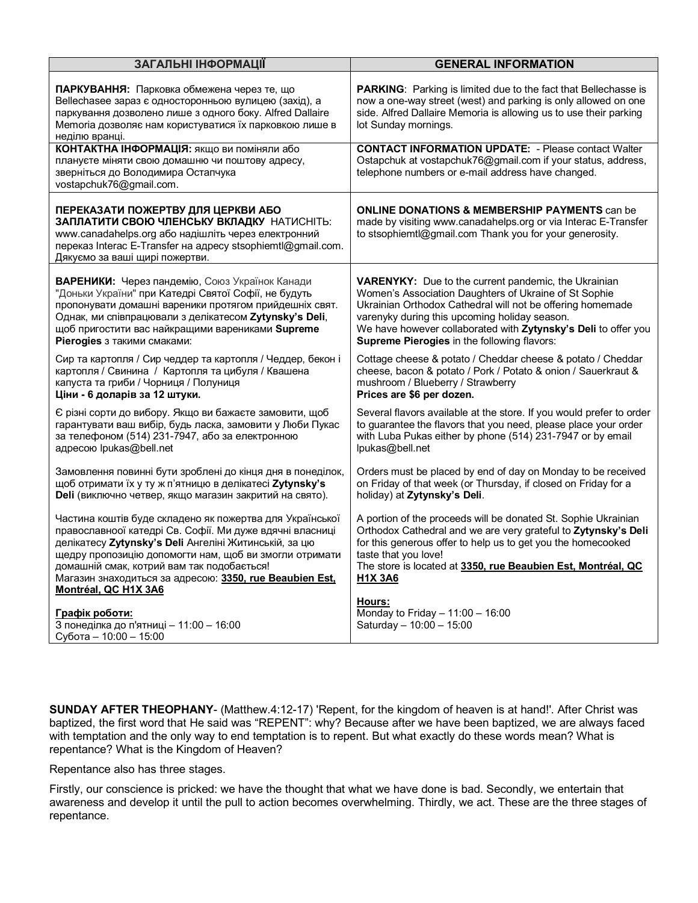| ЗАГАЛЬНІ ІНФОРМАЦІЇ                                                                                                                                                                                                                                                                                                                                                      | <b>GENERAL INFORMATION</b>                                                                                                                                                                                                                                                                                 |
|--------------------------------------------------------------------------------------------------------------------------------------------------------------------------------------------------------------------------------------------------------------------------------------------------------------------------------------------------------------------------|------------------------------------------------------------------------------------------------------------------------------------------------------------------------------------------------------------------------------------------------------------------------------------------------------------|
| ПАРКУВАННЯ: Парковка обмежена через те, що<br>Bellechasee зараз є односторонньою вулицею (захід), а<br>паркування дозволено лише з одного боку. Alfred Dallaire<br>Memoria дозволяє нам користуватися їх парковкою лише в<br>неділю вранці.                                                                                                                              | PARKING: Parking is limited due to the fact that Bellechasse is<br>now a one-way street (west) and parking is only allowed on one<br>side. Alfred Dallaire Memoria is allowing us to use their parking<br>lot Sunday mornings.                                                                             |
| КОНТАКТНА ІНФОРМАЦІЯ: якщо ви поміняли або<br>плануєте міняти свою домашню чи поштову адресу,<br>зверніться до Володимира Остапчука<br>vostapchuk76@gmail.com.                                                                                                                                                                                                           | <b>CONTACT INFORMATION UPDATE: - Please contact Walter</b><br>Ostapchuk at vostapchuk76@gmail.com if your status, address,<br>telephone numbers or e-mail address have changed.                                                                                                                            |
| ПЕРЕКАЗАТИ ПОЖЕРТВУ ДЛЯ ЦЕРКВИ АБО<br>ЗАПЛАТИТИ СВОЮ ЧЛЕНСЬКУ ВКЛАДКУ НАТИСНІТЬ:<br>www.canadahelps.org або надішліть через електронний<br>переказ Interac E-Transfer на адресу stsophiemtl@gmail.com.<br>Дякуємо за ваші щирі пожертви.                                                                                                                                 | <b>ONLINE DONATIONS &amp; MEMBERSHIP PAYMENTS can be</b><br>made by visiting www.canadahelps.org or via Interac E-Transfer<br>to stsophiemtl@gmail.com Thank you for your generosity.                                                                                                                      |
| ВАРЕНИКИ: Через пандемію, Союз Українок Канади                                                                                                                                                                                                                                                                                                                           | VARENYKY: Due to the current pandemic, the Ukrainian                                                                                                                                                                                                                                                       |
| "Доньки України" при Катедрі Святої Софії, не будуть                                                                                                                                                                                                                                                                                                                     | Women's Association Daughters of Ukraine of St Sophie                                                                                                                                                                                                                                                      |
| пропонувати домашні вареники протягом прийдешніх свят.                                                                                                                                                                                                                                                                                                                   | Ukrainian Orthodox Cathedral will not be offering homemade                                                                                                                                                                                                                                                 |
| Однак, ми співпрацювали з делікатесом Zytynsky's Deli,                                                                                                                                                                                                                                                                                                                   | varenyky during this upcoming holiday season.                                                                                                                                                                                                                                                              |
| щоб пригостити вас найкращими варениками Supreme                                                                                                                                                                                                                                                                                                                         | We have however collaborated with Zytynsky's Deli to offer you                                                                                                                                                                                                                                             |
| Pierogies з такими смаками:                                                                                                                                                                                                                                                                                                                                              | Supreme Pierogies in the following flavors:                                                                                                                                                                                                                                                                |
| Сир та картопля / Сир чеддер та картопля / Чеддер, бекон і                                                                                                                                                                                                                                                                                                               | Cottage cheese & potato / Cheddar cheese & potato / Cheddar                                                                                                                                                                                                                                                |
| картопля / Свинина / Картопля та цибуля / Квашена                                                                                                                                                                                                                                                                                                                        | cheese, bacon & potato / Pork / Potato & onion / Sauerkraut &                                                                                                                                                                                                                                              |
| капуста та гриби / Чорниця / Полуниця                                                                                                                                                                                                                                                                                                                                    | mushroom / Blueberry / Strawberry                                                                                                                                                                                                                                                                          |
| Ціни - 6 доларів за 12 штуки.                                                                                                                                                                                                                                                                                                                                            | Prices are \$6 per dozen.                                                                                                                                                                                                                                                                                  |
| Є різні сорти до вибору. Якщо ви бажаєте замовити, щоб                                                                                                                                                                                                                                                                                                                   | Several flavors available at the store. If you would prefer to order                                                                                                                                                                                                                                       |
| гарантувати ваш вибір, будь ласка, замовити у Люби Пукас                                                                                                                                                                                                                                                                                                                 | to guarantee the flavors that you need, please place your order                                                                                                                                                                                                                                            |
| за телефоном (514) 231-7947, або за електронною                                                                                                                                                                                                                                                                                                                          | with Luba Pukas either by phone (514) 231-7947 or by email                                                                                                                                                                                                                                                 |
| адресою Ipukas@bell.net                                                                                                                                                                                                                                                                                                                                                  | lpukas@bell.net                                                                                                                                                                                                                                                                                            |
| Замовлення повинні бути зроблені до кінця дня в понеділок,                                                                                                                                                                                                                                                                                                               | Orders must be placed by end of day on Monday to be received                                                                                                                                                                                                                                               |
| щоб отримати їх у ту ж п'ятницю в делікатесі Zytynsky's                                                                                                                                                                                                                                                                                                                  | on Friday of that week (or Thursday, if closed on Friday for a                                                                                                                                                                                                                                             |
| Deli (виключно четвер, якщо магазин закритий на свято).                                                                                                                                                                                                                                                                                                                  | holiday) at Zytynsky's Deli.                                                                                                                                                                                                                                                                               |
| Частина коштів буде складено як пожертва для Української<br>православноої катедрі Св. Софії. Ми дуже вдячні власниці<br>делікатесу Zytynsky's Deli Ангеліні Житинській, за цю<br>щедру пропозицію допомогти нам, щоб ви змогли отримати<br>домашній смак, котрий вам так подобається!<br>Магазин знаходиться за адресою: 3350, rue Beaubien Est,<br>Montréal, QC H1X 3A6 | A portion of the proceeds will be donated St. Sophie Ukrainian<br>Orthodox Cathedral and we are very grateful to Zytynsky's Deli<br>for this generous offer to help us to get you the homecooked<br>taste that you love!<br>The store is located at 3350, rue Beaubien Est, Montréal, QC<br><b>H1X 3A6</b> |
| Графік роботи:                                                                                                                                                                                                                                                                                                                                                           | Hours:                                                                                                                                                                                                                                                                                                     |
| З понеділка до п'ятниці - 11:00 - 16:00                                                                                                                                                                                                                                                                                                                                  | Monday to Friday $-11:00 - 16:00$                                                                                                                                                                                                                                                                          |
| Субота - 10:00 - 15:00                                                                                                                                                                                                                                                                                                                                                   | Saturday - 10:00 - 15:00                                                                                                                                                                                                                                                                                   |

**SUNDAY AFTER THEOPHANY**- (Matthew.4:12-17) 'Repent, for the kingdom of heaven is at hand!'. After Christ was baptized, the first word that He said was "REPENT": why? Because after we have been baptized, we are always faced with temptation and the only way to end temptation is to repent. But what exactly do these words mean? What is repentance? What is the Kingdom of Heaven?

Repentance also has three stages.

Firstly, our conscience is pricked: we have the thought that what we have done is bad. Secondly, we entertain that awareness and develop it until the pull to action becomes overwhelming. Thirdly, we act. These are the three stages of repentance.